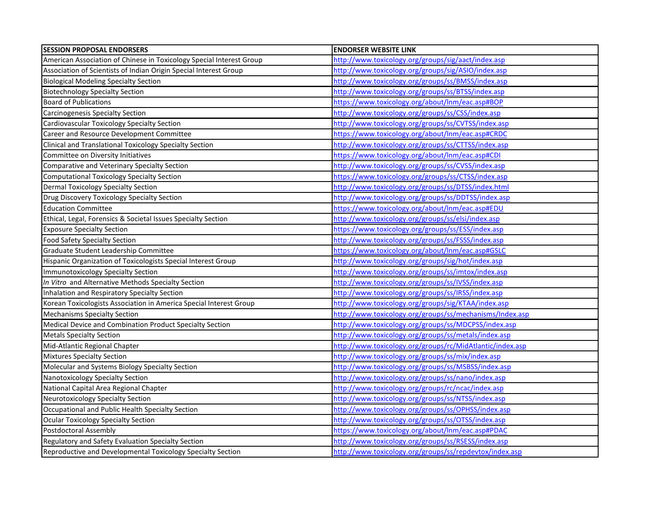| <b>SESSION PROPOSAL ENDORSERS</b>                                    | <b>ENDORSER WEBSITE LINK</b>                              |
|----------------------------------------------------------------------|-----------------------------------------------------------|
| American Association of Chinese in Toxicology Special Interest Group | http://www.toxicology.org/groups/sig/aact/index.asp       |
| Association of Scientists of Indian Origin Special Interest Group    | http://www.toxicology.org/groups/sig/ASIO/index.asp       |
| <b>Biological Modeling Specialty Section</b>                         | http://www.toxicology.org/groups/ss/BMSS/index.asp        |
| <b>Biotechnology Specialty Section</b>                               | http://www.toxicology.org/groups/ss/BTSS/index.asp        |
| <b>Board of Publications</b>                                         | https://www.toxicology.org/about/lnm/eac.asp#BOP          |
| Carcinogenesis Specialty Section                                     | http://www.toxicology.org/groups/ss/CSS/index.asp         |
| Cardiovascular Toxicology Specialty Section                          | http://www.toxicology.org/groups/ss/CVTSS/index.asp       |
| Career and Resource Development Committee                            | https://www.toxicology.org/about/Inm/eac.asp#CRDC         |
| Clinical and Translational Toxicology Specialty Section              | http://www.toxicology.org/groups/ss/CTTSS/index.asp       |
| Committee on Diversity Initiatives                                   | https://www.toxicology.org/about/Inm/eac.asp#CDI          |
| Comparative and Veterinary Specialty Section                         | http://www.toxicology.org/groups/ss/CVSS/index.asp        |
| Computational Toxicology Specialty Section                           | https://www.toxicology.org/groups/ss/CTSS/index.asp       |
| Dermal Toxicology Specialty Section                                  | http://www.toxicology.org/groups/ss/DTSS/index.html       |
| Drug Discovery Toxicology Specialty Section                          | http://www.toxicology.org/groups/ss/DDTSS/index.asp       |
| <b>Education Committee</b>                                           | https://www.toxicology.org/about/lnm/eac.asp#EDU          |
| Ethical, Legal, Forensics & Societal Issues Specialty Section        | http://www.toxicology.org/groups/ss/elsi/index.asp        |
| <b>Exposure Specialty Section</b>                                    | https://www.toxicology.org/groups/ss/ESS/index.asp        |
| <b>Food Safety Specialty Section</b>                                 | http://www.toxicology.org/groups/ss/FSSS/index.asp        |
| Graduate Student Leadership Committee                                | https://www.toxicology.org/about/lnm/eac.asp#GSLC         |
| Hispanic Organization of Toxicologists Special Interest Group        | http://www.toxicology.org/groups/sig/hot/index.asp        |
| Immunotoxicology Specialty Section                                   | http://www.toxicology.org/groups/ss/imtox/index.asp       |
| In Vitro and Alternative Methods Specialty Section                   | http://www.toxicology.org/groups/ss/IVSS/index.asp        |
| Inhalation and Respiratory Specialty Section                         | http://www.toxicology.org/groups/ss/IRSS/index.asp        |
| Korean Toxicologists Association in America Special Interest Group   | http://www.toxicology.org/groups/sig/KTAA/index.asp       |
| <b>Mechanisms Specialty Section</b>                                  | http://www.toxicology.org/groups/ss/mechanisms/Index.asp  |
| Medical Device and Combination Product Specialty Section             | http://www.toxicology.org/groups/ss/MDCPSS/index.asp      |
| <b>Metals Specialty Section</b>                                      | http://www.toxicology.org/groups/ss/metals/index.asp      |
| Mid-Atlantic Regional Chapter                                        | http://www.toxicology.org/groups/rc/MidAtlantic/index.asp |
| Mixtures Specialty Section                                           | http://www.toxicology.org/groups/ss/mix/index.asp         |
| Molecular and Systems Biology Specialty Section                      | http://www.toxicology.org/groups/ss/MSBSS/index.asp       |
| Nanotoxicology Specialty Section                                     | http://www.toxicology.org/groups/ss/nano/index.asp        |
| National Capital Area Regional Chapter                               | http://www.toxicology.org/groups/rc/ncac/index.asp        |
| Neurotoxicology Specialty Section                                    | http://www.toxicology.org/groups/ss/NTSS/index.asp        |
| Occupational and Public Health Specialty Section                     | http://www.toxicology.org/groups/ss/OPHSS/index.asp       |
| Ocular Toxicology Specialty Section                                  | http://www.toxicology.org/groups/ss/OTSS/index.asp        |
| Postdoctoral Assembly                                                | https://www.toxicology.org/about/lnm/eac.asp#PDAC         |
| <b>Regulatory and Safety Evaluation Specialty Section</b>            | http://www.toxicology.org/groups/ss/RSESS/index.asp       |
| Reproductive and Developmental Toxicology Specialty Section          | http://www.toxicology.org/groups/ss/repdevtox/index.asp   |